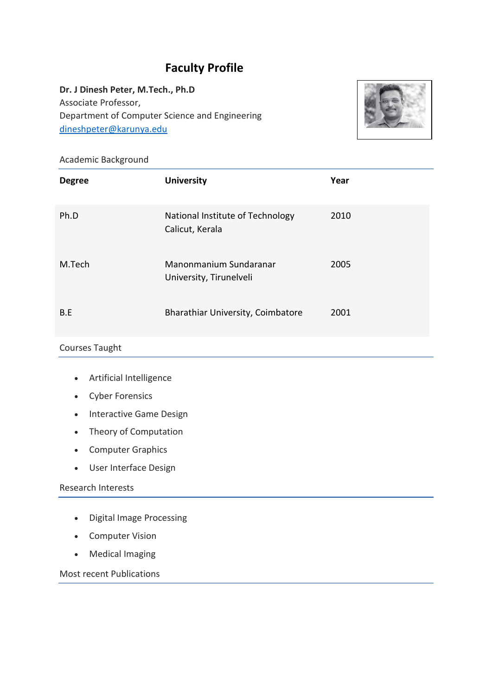# **Faculty Profile**

**Dr. J Dinesh Peter, M.Tech., Ph.D** Associate Professor, Department of Computer Science and Engineering [dineshpeter@karunya.edu](mailto:sujitha@karunya.edu)



#### Academic Background

| <b>Degree</b> | <b>University</b>                                   | Year |
|---------------|-----------------------------------------------------|------|
| Ph.D          | National Institute of Technology<br>Calicut, Kerala | 2010 |
| M.Tech        | Manonmanium Sundaranar<br>University, Tirunelveli   | 2005 |
| B.E           | Bharathiar University, Coimbatore                   | 2001 |

## Courses Taught

- Artificial Intelligence
- Cyber Forensics
- Interactive Game Design
- Theory of Computation
- Computer Graphics
- User Interface Design

#### Research Interests

- Digital Image Processing
- Computer Vision
- Medical Imaging

Most recent Publications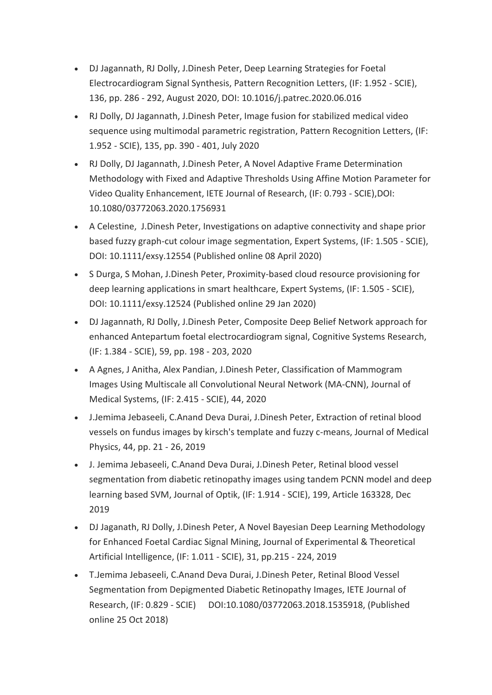- DJ Jagannath, RJ Dolly, J.Dinesh Peter, Deep Learning Strategies for Foetal Electrocardiogram Signal Synthesis, Pattern Recognition Letters, (IF: 1.952 - SCIE), 136, pp. 286 - 292, August 2020, DOI: 10.1016/j.patrec.2020.06.016
- RJ Dolly, DJ Jagannath, J.Dinesh Peter, Image fusion for stabilized medical video sequence using multimodal parametric registration, Pattern Recognition Letters, (IF: 1.952 - SCIE), 135, pp. 390 - 401, July 2020
- RJ Dolly, DJ Jagannath, J.Dinesh Peter, A Novel Adaptive Frame Determination Methodology with Fixed and Adaptive Thresholds Using Affine Motion Parameter for Video Quality Enhancement, IETE Journal of Research, (IF: 0.793 - SCIE),DOI: 10.1080/03772063.2020.1756931
- A Celestine, J.Dinesh Peter, Investigations on adaptive connectivity and shape prior based fuzzy graph-cut colour image segmentation, Expert Systems, (IF: 1.505 - SCIE), DOI: 10.1111/exsy.12554 (Published online 08 April 2020)
- S Durga, S Mohan, J.Dinesh Peter, Proximity-based cloud resource provisioning for deep learning applications in smart healthcare, Expert Systems, (IF: 1.505 - SCIE), DOI: 10.1111/exsy.12524 (Published online 29 Jan 2020)
- DJ Jagannath, RJ Dolly, J.Dinesh Peter, Composite Deep Belief Network approach for enhanced Antepartum foetal electrocardiogram signal, Cognitive Systems Research, (IF: 1.384 - SCIE), 59, pp. 198 - 203, 2020
- A Agnes, J Anitha, Alex Pandian, J.Dinesh Peter, Classification of Mammogram Images Using Multiscale all Convolutional Neural Network (MA-CNN), Journal of Medical Systems, (IF: 2.415 - SCIE), 44, 2020
- J.Jemima Jebaseeli, C.Anand Deva Durai, J.Dinesh Peter, Extraction of retinal blood vessels on fundus images by kirsch's template and fuzzy c-means, Journal of Medical Physics, 44, pp. 21 - 26, 2019
- J. Jemima Jebaseeli, C.Anand Deva Durai, J.Dinesh Peter, Retinal blood vessel segmentation from diabetic retinopathy images using tandem PCNN model and deep learning based SVM, Journal of Optik, (IF: 1.914 - SCIE), 199, Article 163328, Dec 2019
- DJ Jaganath, RJ Dolly, J.Dinesh Peter, A Novel Bayesian Deep Learning Methodology for Enhanced Foetal Cardiac Signal Mining, Journal of Experimental & Theoretical Artificial Intelligence, (IF: 1.011 - SCIE), 31, pp.215 - 224, 2019
- T.Jemima Jebaseeli, C.Anand Deva Durai, J.Dinesh Peter, Retinal Blood Vessel Segmentation from Depigmented Diabetic Retinopathy Images, IETE Journal of Research, (IF: 0.829 - SCIE) DOI:10.1080/03772063.2018.1535918, (Published online 25 Oct 2018)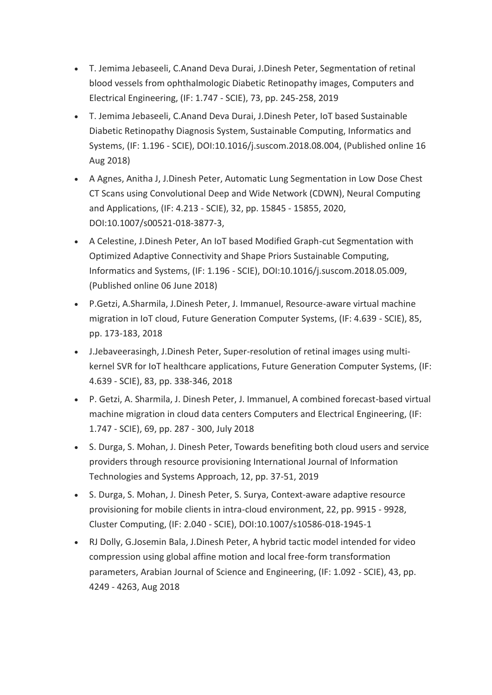- T. Jemima Jebaseeli, C.Anand Deva Durai, J.Dinesh Peter, Segmentation of retinal blood vessels from ophthalmologic Diabetic Retinopathy images, Computers and Electrical Engineering, (IF: 1.747 - SCIE), 73, pp. 245-258, 2019
- T. Jemima Jebaseeli, C.Anand Deva Durai, J.Dinesh Peter, IoT based Sustainable Diabetic Retinopathy Diagnosis System, Sustainable Computing, Informatics and Systems, (IF: 1.196 - SCIE), DOI:10.1016/j.suscom.2018.08.004, (Published online 16 Aug 2018)
- A Agnes, Anitha J, J.Dinesh Peter, Automatic Lung Segmentation in Low Dose Chest CT Scans using Convolutional Deep and Wide Network (CDWN), Neural Computing and Applications, (IF: 4.213 - SCIE), 32, pp. 15845 - 15855, 2020, DOI:10.1007/s00521-018-3877-3,
- A Celestine, J.Dinesh Peter, An IoT based Modified Graph-cut Segmentation with Optimized Adaptive Connectivity and Shape Priors Sustainable Computing, Informatics and Systems, (IF: 1.196 - SCIE), DOI:10.1016/j.suscom.2018.05.009, (Published online 06 June 2018)
- P.Getzi, A.Sharmila, J.Dinesh Peter, J. Immanuel, Resource-aware virtual machine migration in IoT cloud, Future Generation Computer Systems, (IF: 4.639 - SCIE), 85, pp. 173-183, 2018
- J.Jebaveerasingh, J.Dinesh Peter, Super-resolution of retinal images using multikernel SVR for IoT healthcare applications, Future Generation Computer Systems, (IF: 4.639 - SCIE), 83, pp. 338-346, 2018
- P. Getzi, A. Sharmila, J. Dinesh Peter, J. Immanuel, A combined forecast-based virtual machine migration in cloud data centers Computers and Electrical Engineering, (IF: 1.747 - SCIE), 69, pp. 287 - 300, July 2018
- S. Durga, S. Mohan, J. Dinesh Peter, Towards benefiting both cloud users and service providers through resource provisioning International Journal of Information Technologies and Systems Approach, 12, pp. 37-51, 2019
- S. Durga, S. Mohan, J. Dinesh Peter, S. Surya, Context-aware adaptive resource provisioning for mobile clients in intra-cloud environment, 22, pp. 9915 - 9928, Cluster Computing, (IF: 2.040 - SCIE), DOI:10.1007/s10586-018-1945-1
- RJ Dolly, G.Josemin Bala, J.Dinesh Peter, A hybrid tactic model intended for video compression using global affine motion and local free-form transformation parameters, Arabian Journal of Science and Engineering, (IF: 1.092 - SCIE), 43, pp. 4249 - 4263, Aug 2018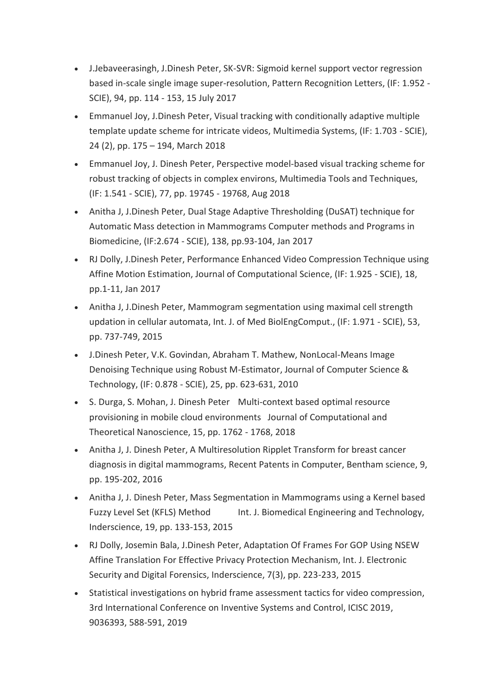- J.Jebaveerasingh, J.Dinesh Peter, SK-SVR: Sigmoid kernel support vector regression based in-scale single image super-resolution, Pattern Recognition Letters, (IF: 1.952 - SCIE), 94, pp. 114 - 153, 15 July 2017
- Emmanuel Joy, J.Dinesh Peter, Visual tracking with conditionally adaptive multiple template update scheme for intricate videos, Multimedia Systems, (IF: 1.703 - SCIE), 24 (2), pp. 175 – 194, March 2018
- Emmanuel Joy, J. Dinesh Peter, Perspective model-based visual tracking scheme for robust tracking of objects in complex environs, Multimedia Tools and Techniques, (IF: 1.541 - SCIE), 77, pp. 19745 - 19768, Aug 2018
- Anitha J, J.Dinesh Peter, Dual Stage Adaptive Thresholding (DuSAT) technique for Automatic Mass detection in Mammograms Computer methods and Programs in Biomedicine, (IF:2.674 - SCIE), 138, pp.93-104, Jan 2017
- RJ Dolly, J.Dinesh Peter, Performance Enhanced Video Compression Technique using Affine Motion Estimation, Journal of Computational Science, (IF: 1.925 - SCIE), 18, pp.1-11, Jan 2017
- Anitha J, J.Dinesh Peter, Mammogram segmentation using maximal cell strength updation in cellular automata, Int. J. of Med BiolEngComput., (IF: 1.971 - SCIE), 53, pp. 737-749, 2015
- J.Dinesh Peter, V.K. Govindan, Abraham T. Mathew, NonLocal-Means Image Denoising Technique using Robust M-Estimator, Journal of Computer Science & Technology, (IF: 0.878 - SCIE), 25, pp. 623-631, 2010
- S. Durga, S. Mohan, J. Dinesh Peter Multi-context based optimal resource provisioning in mobile cloud environments Journal of Computational and Theoretical Nanoscience, 15, pp. 1762 - 1768, 2018
- Anitha J, J. Dinesh Peter, A Multiresolution Ripplet Transform for breast cancer diagnosis in digital mammograms, Recent Patents in Computer, Bentham science, 9, pp. 195-202, 2016
- Anitha J, J. Dinesh Peter, Mass Segmentation in Mammograms using a Kernel based Fuzzy Level Set (KFLS) Method Int. J. Biomedical Engineering and Technology, Inderscience, 19, pp. 133-153, 2015
- RJ Dolly, Josemin Bala, J.Dinesh Peter, Adaptation Of Frames For GOP Using NSEW Affine Translation For Effective Privacy Protection Mechanism, Int. J. Electronic Security and Digital Forensics, Inderscience, 7(3), pp. 223-233, 2015
- Statistical investigations on hybrid frame assessment tactics for video compression, 3rd International Conference on Inventive Systems and Control, ICISC 2019, 9036393, 588-591, 2019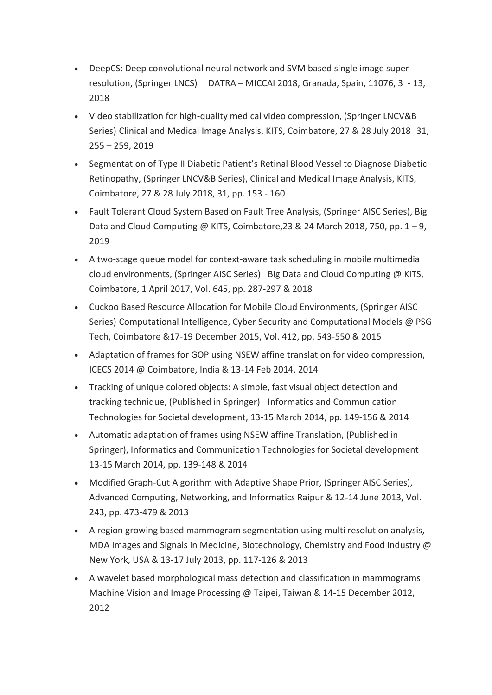- DeepCS: Deep convolutional neural network and SVM based single image superresolution, (Springer LNCS) DATRA – MICCAI 2018, Granada, Spain, 11076, 3 - 13, 2018
- Video stabilization for high-quality medical video compression, (Springer LNCV&B Series) Clinical and Medical Image Analysis, KITS, Coimbatore, 27 & 28 July 2018 31, 255 – 259, 2019
- Segmentation of Type II Diabetic Patient's Retinal Blood Vessel to Diagnose Diabetic Retinopathy, (Springer LNCV&B Series), Clinical and Medical Image Analysis, KITS, Coimbatore, 27 & 28 July 2018, 31, pp. 153 - 160
- Fault Tolerant Cloud System Based on Fault Tree Analysis, (Springer AISC Series), Big Data and Cloud Computing @ KITS, Coimbatore, 23 & 24 March 2018, 750, pp.  $1 - 9$ , 2019
- A two-stage queue model for context-aware task scheduling in mobile multimedia cloud environments, (Springer AISC Series) Big Data and Cloud Computing @ KITS, Coimbatore, 1 April 2017, Vol. 645, pp. 287-297 & 2018
- Cuckoo Based Resource Allocation for Mobile Cloud Environments, (Springer AISC Series) Computational Intelligence, Cyber Security and Computational Models @ PSG Tech, Coimbatore &17-19 December 2015, Vol. 412, pp. 543-550 & 2015
- Adaptation of frames for GOP using NSEW affine translation for video compression, ICECS 2014 @ Coimbatore, India & 13-14 Feb 2014, 2014
- Tracking of unique colored objects: A simple, fast visual object detection and tracking technique, (Published in Springer) Informatics and Communication Technologies for Societal development, 13-15 March 2014, pp. 149-156 & 2014
- Automatic adaptation of frames using NSEW affine Translation, (Published in Springer), Informatics and Communication Technologies for Societal development 13-15 March 2014, pp. 139-148 & 2014
- Modified Graph-Cut Algorithm with Adaptive Shape Prior, (Springer AISC Series), Advanced Computing, Networking, and Informatics Raipur & 12-14 June 2013, Vol. 243, pp. 473-479 & 2013
- A region growing based mammogram segmentation using multi resolution analysis, MDA Images and Signals in Medicine, Biotechnology, Chemistry and Food Industry @ New York, USA & 13-17 July 2013, pp. 117-126 & 2013
- A wavelet based morphological mass detection and classification in mammograms Machine Vision and Image Processing @ Taipei, Taiwan & 14-15 December 2012, 2012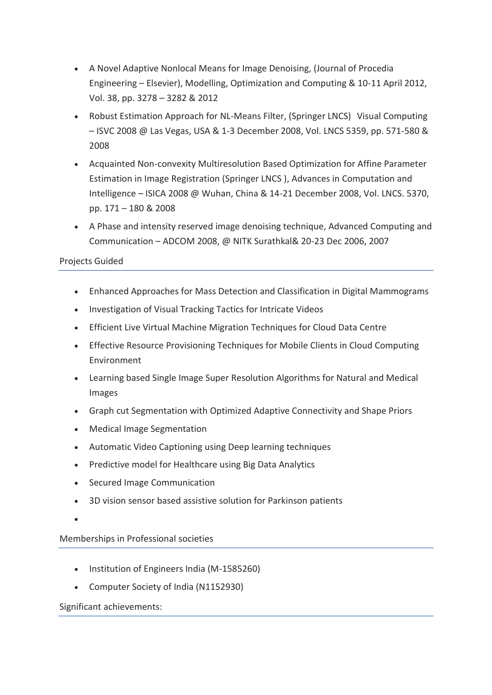- A Novel Adaptive Nonlocal Means for Image Denoising, (Journal of Procedia Engineering – Elsevier), Modelling, Optimization and Computing & 10-11 April 2012, Vol. 38, pp. 3278 – 3282 & 2012
- Robust Estimation Approach for NL-Means Filter, (Springer LNCS) Visual Computing – ISVC 2008 @ Las Vegas, USA & 1-3 December 2008, Vol. LNCS 5359, pp. 571-580 & 2008
- Acquainted Non-convexity Multiresolution Based Optimization for Affine Parameter Estimation in Image Registration (Springer LNCS ), Advances in Computation and Intelligence – ISICA 2008 @ Wuhan, China & 14-21 December 2008, Vol. LNCS. 5370, pp. 171 – 180 & 2008
- A Phase and intensity reserved image denoising technique, Advanced Computing and Communication – ADCOM 2008, @ NITK Surathkal& 20-23 Dec 2006, 2007

## Projects Guided

- Enhanced Approaches for Mass Detection and Classification in Digital Mammograms
- Investigation of Visual Tracking Tactics for Intricate Videos
- Efficient Live Virtual Machine Migration Techniques for Cloud Data Centre
- Effective Resource Provisioning Techniques for Mobile Clients in Cloud Computing Environment
- Learning based Single Image Super Resolution Algorithms for Natural and Medical Images
- Graph cut Segmentation with Optimized Adaptive Connectivity and Shape Priors
- Medical Image Segmentation
- Automatic Video Captioning using Deep learning techniques
- Predictive model for Healthcare using Big Data Analytics
- Secured Image Communication
- 3D vision sensor based assistive solution for Parkinson patients
- $\bullet$

Memberships in Professional societies

- Institution of Engineers India (M-1585260)
- Computer Society of India (N1152930)

### Significant achievements: